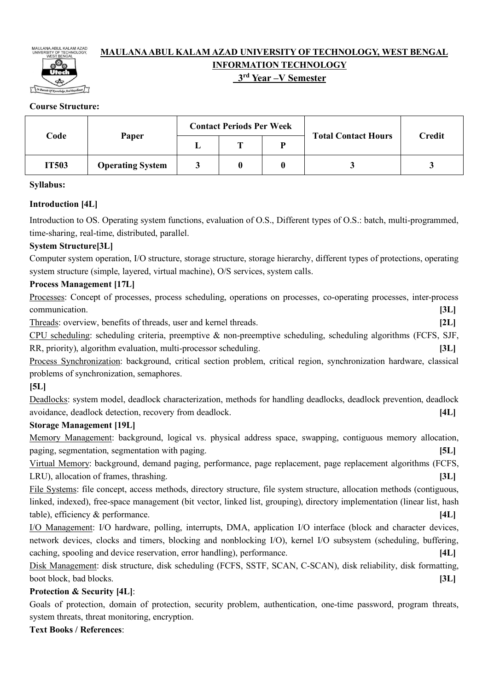

# **MAULANA ABUL KALAM AZAD UNIVERSITY OF TECHNOLOGY, WEST BENGAL INFORMATION TECHNOLOGY**

# **3rd Year –V Semester**

## **Course Structure:**

|       |                         | <b>Contact Periods Per Week</b> |   |  |                            | <b>Credit</b> |  |
|-------|-------------------------|---------------------------------|---|--|----------------------------|---------------|--|
| Code  | Paper                   |                                 | m |  | <b>Total Contact Hours</b> |               |  |
| IT503 | <b>Operating System</b> |                                 |   |  |                            |               |  |

### **Syllabus:**

## **Introduction [4L]**

Introduction to OS. Operating system functions, evaluation of O.S., Different types of O.S.: batch, multi-programmed, time-sharing, real-time, distributed, parallel.

## **System Structure[3L]**

Computer system operation, I/O structure, storage structure, storage hierarchy, different types of protections, operating system structure (simple, layered, virtual machine), O/S services, system calls.

## **Process Management [17L]**

| Processes: Concept of processes, process scheduling, operations on processes, co-operating processes, inter-process |      |
|---------------------------------------------------------------------------------------------------------------------|------|
| communication.                                                                                                      | [3L] |
| Threads: overview, benefits of threads, user and kernel threads.                                                    | [2L] |
| CPU scheduling: scheduling criteria, preemptive & non-preemptive scheduling, scheduling algorithms (FCFS, SJF,      |      |
| RR, priority), algorithm evaluation, multi-processor scheduling.                                                    | 3L   |
| Process Synchronization: background, critical section problem, critical region, synchronization hardware, classical |      |
| problems of synchronization, semaphores.                                                                            |      |
| [5L]                                                                                                                |      |
| Deadlocks: system model, deadlock characterization, methods for handling deadlocks, deadlock prevention, deadlock   |      |

avoidance, deadlock detection, recovery from deadlock. **[4L]**

### **Storage Management [19L]**

Memory Management: background, logical vs. physical address space, swapping, contiguous memory allocation, paging, segmentation, segmentation with paging. **[5L]**

Virtual Memory: background, demand paging, performance, page replacement, page replacement algorithms (FCFS, LRU), allocation of frames, thrashing. **[3L]**

File Systems: file concept, access methods, directory structure, file system structure, allocation methods (contiguous, linked, indexed), free-space management (bit vector, linked list, grouping), directory implementation (linear list, hash table), efficiency & performance. **[4L]**

I/O Management: I/O hardware, polling, interrupts, DMA, application I/O interface (block and character devices, network devices, clocks and timers, blocking and nonblocking I/O), kernel I/O subsystem (scheduling, buffering, caching, spooling and device reservation, error handling), performance. **[4L]**

Disk Management: disk structure, disk scheduling (FCFS, SSTF, SCAN, C-SCAN), disk reliability, disk formatting, boot block, bad blocks. **[3L]**

## **Protection & Security [4L]**:

Goals of protection, domain of protection, security problem, authentication, one-time password, program threats, system threats, threat monitoring, encryption.

**Text Books / References**: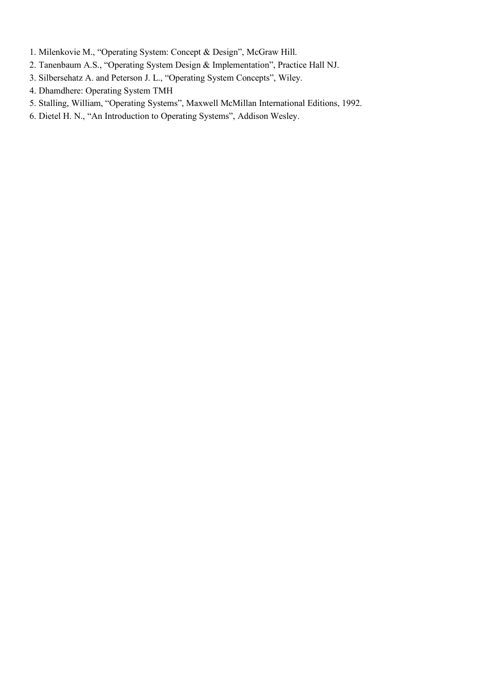- 1. Milenkovie M., "Operating System: Concept & Design", McGraw Hill.
- 2. Tanenbaum A.S., "Operating System Design & Implementation", Practice Hall NJ.
- 3. Silbersehatz A. and Peterson J. L., "Operating System Concepts", Wiley.
- 4. Dhamdhere: Operating System TMH
- 5. Stalling, William, "Operating Systems", Maxwell McMillan International Editions, 1992.
- 6. Dietel H. N., "An Introduction to Operating Systems", Addison Wesley.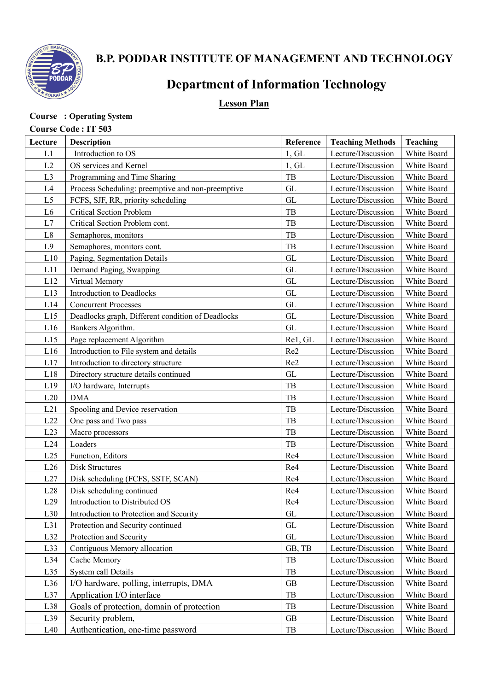

# **B.P. PODDAR INSTITUTE OF MANAGEMENT AND TECHNOLOGY**

# **Department of Information Technology**

# **Lesson Plan**

# **Course : Operating System**

# **Course Code : IT 503**

| Lecture          | Description                                       | Reference           | <b>Teaching Methods</b> | <b>Teaching</b> |
|------------------|---------------------------------------------------|---------------------|-------------------------|-----------------|
| L1               | Introduction to OS                                | 1, GL               | Lecture/Discussion      | White Board     |
| L2               | OS services and Kernel                            | 1, GL               | Lecture/Discussion      | White Board     |
| L <sub>3</sub>   | Programming and Time Sharing                      | TB                  | Lecture/Discussion      | White Board     |
| L4               | Process Scheduling: preemptive and non-preemptive | GL                  | Lecture/Discussion      | White Board     |
| L <sub>5</sub>   | FCFS, SJF, RR, priority scheduling                | <b>GL</b>           | Lecture/Discussion      | White Board     |
| L <sub>6</sub>   | <b>Critical Section Problem</b>                   | TB                  | Lecture/Discussion      | White Board     |
| L7               | Critical Section Problem cont.                    | TB                  | Lecture/Discussion      | White Board     |
| L8               | Semaphores, monitors                              | TB                  | Lecture/Discussion      | White Board     |
| L9               | Semaphores, monitors cont.                        | TB                  | Lecture/Discussion      | White Board     |
| L10              | Paging, Segmentation Details                      | <b>GL</b>           | Lecture/Discussion      | White Board     |
| L11              | Demand Paging, Swapping                           | <b>GL</b>           | Lecture/Discussion      | White Board     |
| L12              | Virtual Memory                                    | <b>GL</b>           | Lecture/Discussion      | White Board     |
| L13              | Introduction to Deadlocks                         | <b>GL</b>           | Lecture/Discussion      | White Board     |
| L14              | <b>Concurrent Processes</b>                       | <b>GL</b>           | Lecture/Discussion      | White Board     |
| L15              | Deadlocks graph, Different condition of Deadlocks | <b>GL</b>           | Lecture/Discussion      | White Board     |
| L16              | Bankers Algorithm.                                | <b>GL</b>           | Lecture/Discussion      | White Board     |
| L15              | Page replacement Algorithm                        | Rel, GL             | Lecture/Discussion      | White Board     |
| L16              | Introduction to File system and details           | Re2                 | Lecture/Discussion      | White Board     |
| L17              | Introduction to directory structure               | Re2                 | Lecture/Discussion      | White Board     |
| L18              | Directory structure details continued             | <b>GL</b>           | Lecture/Discussion      | White Board     |
| L19              | I/O hardware, Interrupts                          | TB                  | Lecture/Discussion      | White Board     |
| L20              | <b>DMA</b>                                        | TB                  | Lecture/Discussion      | White Board     |
| L21              | Spooling and Device reservation                   | TB                  | Lecture/Discussion      | White Board     |
| L22              | One pass and Two pass                             | TB                  | Lecture/Discussion      | White Board     |
| L23              | Macro processors                                  | TB                  | Lecture/Discussion      | White Board     |
| L24              | Loaders                                           | TB                  | Lecture/Discussion      | White Board     |
| L25              | Function, Editors                                 | Re4                 | Lecture/Discussion      | White Board     |
| L26              | <b>Disk Structures</b>                            | Re4                 | Lecture/Discussion      | White Board     |
| L27              | Disk scheduling (FCFS, SSTF, SCAN)                | Re4                 | Lecture/Discussion      | White Board     |
| L28              | Disk scheduling continued                         | Re4                 | Lecture/Discussion      | White Board     |
| L29              | Introduction to Distributed OS                    | Re <sub>4</sub>     | Lecture/Discussion      | White Board     |
| L30              | Introduction to Protection and Security           | GL                  | Lecture/Discussion      | White Board     |
| L31              | Protection and Security continued                 | $\operatorname{GL}$ | Lecture/Discussion      | White Board     |
| L32              | Protection and Security                           | GL                  | Lecture/Discussion      | White Board     |
| L <sub>3</sub> 3 | Contiguous Memory allocation                      | GB, TB              | Lecture/Discussion      | White Board     |
| L34              | Cache Memory                                      | TB                  | Lecture/Discussion      | White Board     |
| L35              | System call Details                               | TB                  | Lecture/Discussion      | White Board     |
| L36              | I/O hardware, polling, interrupts, DMA            | $\rm GB$            | Lecture/Discussion      | White Board     |
| L37              | Application I/O interface                         | $_{\rm{TB}}$        | Lecture/Discussion      | White Board     |
| L <sub>38</sub>  | Goals of protection, domain of protection         | TB                  | Lecture/Discussion      | White Board     |
| L39              | Security problem,                                 | <b>GB</b>           | Lecture/Discussion      | White Board     |
| L40              | Authentication, one-time password                 | TB                  | Lecture/Discussion      | White Board     |